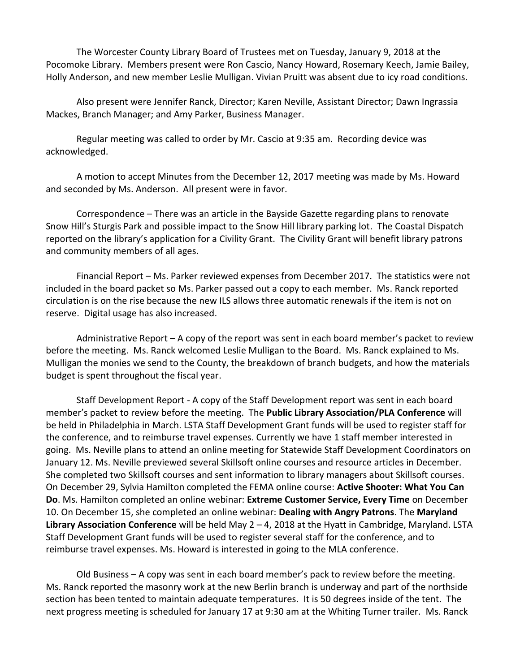The Worcester County Library Board of Trustees met on Tuesday, January 9, 2018 at the Pocomoke Library. Members present were Ron Cascio, Nancy Howard, Rosemary Keech, Jamie Bailey, Holly Anderson, and new member Leslie Mulligan. Vivian Pruitt was absent due to icy road conditions.

Also present were Jennifer Ranck, Director; Karen Neville, Assistant Director; Dawn Ingrassia Mackes, Branch Manager; and Amy Parker, Business Manager.

Regular meeting was called to order by Mr. Cascio at 9:35 am. Recording device was acknowledged.

A motion to accept Minutes from the December 12, 2017 meeting was made by Ms. Howard and seconded by Ms. Anderson. All present were in favor.

Correspondence – There was an article in the Bayside Gazette regarding plans to renovate Snow Hill's Sturgis Park and possible impact to the Snow Hill library parking lot. The Coastal Dispatch reported on the library's application for a Civility Grant. The Civility Grant will benefit library patrons and community members of all ages.

Financial Report – Ms. Parker reviewed expenses from December 2017. The statistics were not included in the board packet so Ms. Parker passed out a copy to each member. Ms. Ranck reported circulation is on the rise because the new ILS allows three automatic renewals if the item is not on reserve. Digital usage has also increased.

Administrative Report – A copy of the report was sent in each board member's packet to review before the meeting. Ms. Ranck welcomed Leslie Mulligan to the Board. Ms. Ranck explained to Ms. Mulligan the monies we send to the County, the breakdown of branch budgets, and how the materials budget is spent throughout the fiscal year.

Staff Development Report - A copy of the Staff Development report was sent in each board member's packet to review before the meeting. The **Public Library Association/PLA Conference** will be held in Philadelphia in March. LSTA Staff Development Grant funds will be used to register staff for the conference, and to reimburse travel expenses. Currently we have 1 staff member interested in going. Ms. Neville plans to attend an online meeting for Statewide Staff Development Coordinators on January 12. Ms. Neville previewed several Skillsoft online courses and resource articles in December. She completed two Skillsoft courses and sent information to library managers about Skillsoft courses. On December 29, Sylvia Hamilton completed the FEMA online course: **Active Shooter: What You Can Do**. Ms. Hamilton completed an online webinar: **Extreme Customer Service, Every Time** on December 10. On December 15, she completed an online webinar: **Dealing with Angry Patrons**. The **Maryland Library Association Conference** will be held May 2 – 4, 2018 at the Hyatt in Cambridge, Maryland. LSTA Staff Development Grant funds will be used to register several staff for the conference, and to reimburse travel expenses. Ms. Howard is interested in going to the MLA conference.

Old Business – A copy was sent in each board member's pack to review before the meeting. Ms. Ranck reported the masonry work at the new Berlin branch is underway and part of the northside section has been tented to maintain adequate temperatures. It is 50 degrees inside of the tent. The next progress meeting is scheduled for January 17 at 9:30 am at the Whiting Turner trailer. Ms. Ranck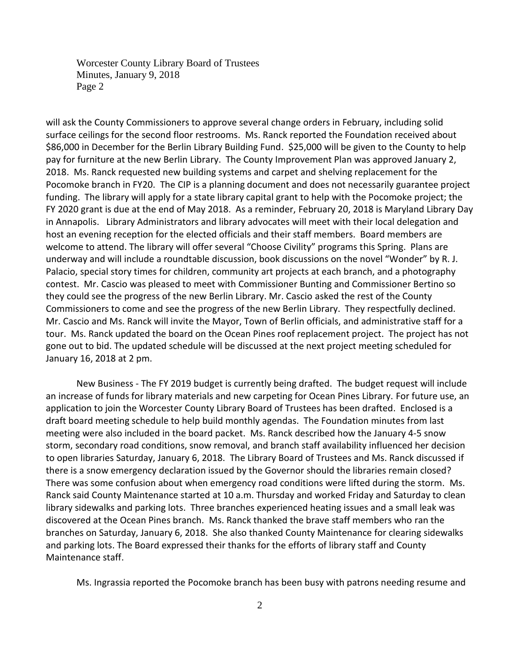Worcester County Library Board of Trustees Minutes, January 9, 2018 Page 2

will ask the County Commissioners to approve several change orders in February, including solid surface ceilings for the second floor restrooms. Ms. Ranck reported the Foundation received about \$86,000 in December for the Berlin Library Building Fund. \$25,000 will be given to the County to help pay for furniture at the new Berlin Library. The County Improvement Plan was approved January 2, 2018. Ms. Ranck requested new building systems and carpet and shelving replacement for the Pocomoke branch in FY20. The CIP is a planning document and does not necessarily guarantee project funding. The library will apply for a state library capital grant to help with the Pocomoke project; the FY 2020 grant is due at the end of May 2018. As a reminder, February 20, 2018 is Maryland Library Day in Annapolis. Library Administrators and library advocates will meet with their local delegation and host an evening reception for the elected officials and their staff members. Board members are welcome to attend. The library will offer several "Choose Civility" programs this Spring. Plans are underway and will include a roundtable discussion, book discussions on the novel "Wonder" by R. J. Palacio, special story times for children, community art projects at each branch, and a photography contest. Mr. Cascio was pleased to meet with Commissioner Bunting and Commissioner Bertino so they could see the progress of the new Berlin Library. Mr. Cascio asked the rest of the County Commissioners to come and see the progress of the new Berlin Library. They respectfully declined. Mr. Cascio and Ms. Ranck will invite the Mayor, Town of Berlin officials, and administrative staff for a tour. Ms. Ranck updated the board on the Ocean Pines roof replacement project. The project has not gone out to bid. The updated schedule will be discussed at the next project meeting scheduled for January 16, 2018 at 2 pm.

New Business - The FY 2019 budget is currently being drafted. The budget request will include an increase of funds for library materials and new carpeting for Ocean Pines Library. For future use, an application to join the Worcester County Library Board of Trustees has been drafted. Enclosed is a draft board meeting schedule to help build monthly agendas. The Foundation minutes from last meeting were also included in the board packet. Ms. Ranck described how the January 4-5 snow storm, secondary road conditions, snow removal, and branch staff availability influenced her decision to open libraries Saturday, January 6, 2018. The Library Board of Trustees and Ms. Ranck discussed if there is a snow emergency declaration issued by the Governor should the libraries remain closed? There was some confusion about when emergency road conditions were lifted during the storm. Ms. Ranck said County Maintenance started at 10 a.m. Thursday and worked Friday and Saturday to clean library sidewalks and parking lots. Three branches experienced heating issues and a small leak was discovered at the Ocean Pines branch. Ms. Ranck thanked the brave staff members who ran the branches on Saturday, January 6, 2018. She also thanked County Maintenance for clearing sidewalks and parking lots. The Board expressed their thanks for the efforts of library staff and County Maintenance staff.

Ms. Ingrassia reported the Pocomoke branch has been busy with patrons needing resume and